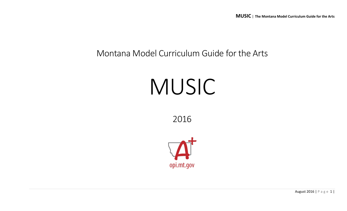## Montana Model Curriculum Guide for the Arts

# MUSIC

2016



August 2016 | P a g e 1 |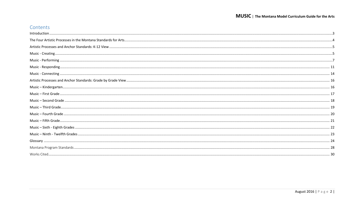## Contents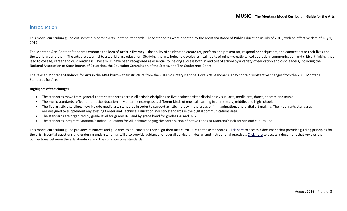#### <span id="page-2-0"></span>Introduction

This model curriculum guide outlines the Montana Arts Content Standards. These standards were adopted by the Montana Board of Public Education in July of 2016, with an effective date of July 1, 2017.

The Montana Arts Content Standards embrace the idea of **Artistic Literacy** – the ability of students to create art, perform and present art, respond or critique art, and connect art to their lives and the world around them. The arts are essential to a world-class education. Studying the arts helps to develop critical habits of mind—creativity, collaboration, communication and critical thinking that lead to college, career and civic readiness. These skills have been recognized as essential to lifelong success both in and out of school by a variety of education and civic leaders, including the National Association of State Boards of Education, the Education Commission of the States, and The Conference Board.

The revised Montana Standards for Arts in the ARM borrow their structure from the [2014 Voluntary National Core Arts Standards.](http://www.nationalartsstandards.org/) They contain substantive changes from the 2000 Montana Standards for Arts.

#### **Highlights of the changes**

- The standards move from general content standards across all artistic disciplines to five distinct artistic disciplines: visual arts, media arts, dance, theatre and music.
- The music standards reflect that music education in Montana encompasses different kinds of musical learning in elementary, middle, and high school.
- The five artistic disciplines now include media arts standards in order to support artistic literacy in the areas of film, animation, and digital art making. The media arts standards are designed to supplement any existing Career and Technical Education industry standards in the digital communications area.
- The standards are organized by grade level for grades K-5 and by grade band for grades 6-8 and 9-12.
- The standards integrate Montana's Indian Education for All, acknowledging the contribution of native tribes to Montana's rich artistic and cultural life.

This model curriculum guide provides resources and guidance to educators as they align their arts curriculum to these standards[. Click here](http://usny.nysed.gov/rttt/docs/guidingprinciples-arts.pdf) to access a document that provides guiding principles for the arts. Essential questions and enduring understandings will also provide guidance for overall curriculum design and instructional practices. [Click here](http://www.nationalartsstandards.org/sites/default/files/College%20Board%20Research%20-%20Arts%20and%20Common%20Core%20-%20final%20report1.pdf) to access a document that reviews the connections between the arts standards and the common core standards.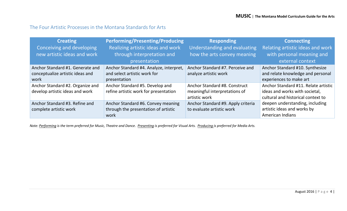#### <span id="page-3-0"></span>The Four Artistic Processes in the Montana Standards for Arts

| <b>Creating</b>                  | <b>Performing/Presenting/Producing</b>  | <b>Responding</b>                  | <b>Connecting</b>                    |
|----------------------------------|-----------------------------------------|------------------------------------|--------------------------------------|
| Conceiving and developing        | Realizing artistic ideas and work       | Understanding and evaluating       | Relating artistic ideas and work     |
| new artistic ideas and work      | through interpretation and              | how the arts convey meaning        | with personal meaning and            |
|                                  | presentation                            |                                    | external context                     |
| Anchor Standard #1. Generate and | Anchor Standard #4. Analyze, interpret, | Anchor Standard #7. Perceive and   | Anchor Standard #10. Synthesize      |
| conceptualize artistic ideas and | and select artistic work for            | analyze artistic work              | and relate knowledge and personal    |
| work                             | presentation                            |                                    | experiences to make art              |
| Anchor Standard #2. Organize and | Anchor Standard #5. Develop and         | Anchor Standard #8. Construct      | Anchor Standard #11. Relate artistic |
| develop artistic ideas and work  | refine artistic work for presentation   | meaningful interpretations of      | ideas and works with societal,       |
|                                  |                                         | artistic work                      | cultural and historical context to   |
| Anchor Standard #3. Refine and   | Anchor Standard #6. Convey meaning      | Anchor Standard #9. Apply criteria | deepen understanding, including      |
| complete artistic work           | through the presentation of artistic    | to evaluate artistic work          | artistic ideas and works by          |
|                                  | work                                    |                                    | <b>American Indians</b>              |

*Note: Performing is the term preferred for Music, Theatre and Dance. Presenting is preferred for Visual Arts. Producing is preferred for Media Arts.*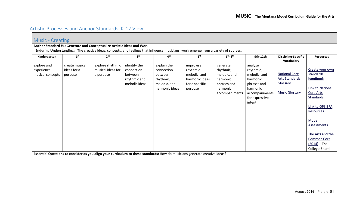## <span id="page-4-0"></span>Artistic Processes and Anchor Standards: K-12 View

<span id="page-4-1"></span>

| Music - Creating                              |                                          |                                                                                                                                       |                                                                        |                                                                                     |                                                                                       |                                                                                                |                                                                                                                           |                                                                                    |                                                                                                                                                                                                                                     |  |  |  |
|-----------------------------------------------|------------------------------------------|---------------------------------------------------------------------------------------------------------------------------------------|------------------------------------------------------------------------|-------------------------------------------------------------------------------------|---------------------------------------------------------------------------------------|------------------------------------------------------------------------------------------------|---------------------------------------------------------------------------------------------------------------------------|------------------------------------------------------------------------------------|-------------------------------------------------------------------------------------------------------------------------------------------------------------------------------------------------------------------------------------|--|--|--|
|                                               |                                          | Anchor Standard #1: Generate and Conceptualize Artistic Ideas and Work                                                                |                                                                        |                                                                                     |                                                                                       |                                                                                                |                                                                                                                           |                                                                                    |                                                                                                                                                                                                                                     |  |  |  |
|                                               |                                          | Enduring Understanding: : The creative ideas, concepts, and feelings that influence musicians' work emerge from a variety of sources. |                                                                        |                                                                                     |                                                                                       |                                                                                                |                                                                                                                           |                                                                                    |                                                                                                                                                                                                                                     |  |  |  |
| Kindergarten                                  | 1 <sup>st</sup>                          | 2 <sup>nd</sup>                                                                                                                       | 3 <sup>rd</sup>                                                        | $4^{\text{th}}$                                                                     | 5 <sup>th</sup>                                                                       | $6th-8th$                                                                                      | 9th-12th                                                                                                                  | <b>Discipline-Specific</b><br>Vocabulary                                           | <b>Resources</b>                                                                                                                                                                                                                    |  |  |  |
| explore and<br>experience<br>musical concepts | create musical<br>ideas for a<br>purpose | explore rhythmic<br>musical ideas for<br>a purpose                                                                                    | identify the<br>connection<br>between<br>rhythmic and<br>melodic ideas | explain the<br>connection<br>between<br>rhythmic,<br>melodic, and<br>harmonic ideas | improvise<br>rhythmic,<br>melodic, and<br>harmonic ideas<br>for a specific<br>purpose | generate<br>rhythmic,<br>melodic, and<br>harmonic<br>phrases and<br>harmonic<br>accompaniments | analyze<br>rhythmic,<br>melodic, and<br>harmonic<br>phrases and<br>harmonic<br>accompaniments<br>for expressive<br>intent | <b>National Core</b><br><b>Arts Standards</b><br>Glossary<br><b>Music Glossary</b> | Create your own<br>standards<br>handbook<br>Link to National<br>Core Arts<br><b>Standards</b><br>Link to OPI IEFA<br>Resources<br>Model<br>Assessments<br>The Arts and the<br><b>Common Core</b><br>$(2014) - The$<br>College Board |  |  |  |
|                                               |                                          | Essential Questions to consider as you align your curriculum to these standards: How do musicians generate creative ideas?            |                                                                        |                                                                                     |                                                                                       |                                                                                                |                                                                                                                           |                                                                                    |                                                                                                                                                                                                                                     |  |  |  |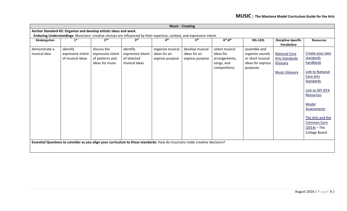|               | <b>Music - Creating</b>                                           |                   |                                                                                                                            |                  |                 |                |                   |                            |                    |  |  |
|---------------|-------------------------------------------------------------------|-------------------|----------------------------------------------------------------------------------------------------------------------------|------------------|-----------------|----------------|-------------------|----------------------------|--------------------|--|--|
|               | Anchor Standard #2: Organize and develop artistic ideas and work. |                   |                                                                                                                            |                  |                 |                |                   |                            |                    |  |  |
|               |                                                                   |                   | Enduring Understandings: Musicians' creative choices are influenced by their expertise, context, and expressive intent.    |                  |                 |                |                   |                            |                    |  |  |
| Kindergarten  | 1 <sup>st</sup>                                                   | 2 <sup>nd</sup>   | 3 <sup>rd</sup>                                                                                                            | 4 <sup>th</sup>  | 5 <sup>th</sup> | $6th-8th$      | 9th-12th          | <b>Discipline-Specific</b> | <b>Resources</b>   |  |  |
|               |                                                                   |                   |                                                                                                                            |                  |                 |                |                   | Vocabulary                 |                    |  |  |
| demonstrate a | identify                                                          | discuss the       | identify                                                                                                                   | organize musical | develop musical | select musical | assemble and      |                            |                    |  |  |
| musical idea  | expressive intent                                                 | expressive intent | expressive intent                                                                                                          | ideas for an     | ideas for an    | ideas for      | organize sounds   | <b>National Core</b>       | Create your own    |  |  |
|               | of musical ideas                                                  | of patterns and   | of selected                                                                                                                | express purpose  | express purpose | arrangements,  | or short musical  | <b>Arts Standards</b>      | standards          |  |  |
|               |                                                                   | ideas for music   | musical ideas                                                                                                              |                  |                 | songs, and     | ideas for express | Glossary                   | handbook           |  |  |
|               |                                                                   |                   |                                                                                                                            |                  |                 | compositions   | purposes          |                            |                    |  |  |
|               |                                                                   |                   |                                                                                                                            |                  |                 |                |                   | <b>Music Glossary</b>      | Link to National   |  |  |
|               |                                                                   |                   |                                                                                                                            |                  |                 |                |                   |                            | Core Arts          |  |  |
|               |                                                                   |                   |                                                                                                                            |                  |                 |                |                   |                            | <b>Standards</b>   |  |  |
|               |                                                                   |                   |                                                                                                                            |                  |                 |                |                   |                            |                    |  |  |
|               |                                                                   |                   |                                                                                                                            |                  |                 |                |                   |                            | Link to OPI IEFA   |  |  |
|               |                                                                   |                   |                                                                                                                            |                  |                 |                |                   |                            | Resources          |  |  |
|               |                                                                   |                   |                                                                                                                            |                  |                 |                |                   |                            |                    |  |  |
|               |                                                                   |                   |                                                                                                                            |                  |                 |                |                   |                            | Model              |  |  |
|               |                                                                   |                   |                                                                                                                            |                  |                 |                |                   |                            | Assessments        |  |  |
|               |                                                                   |                   |                                                                                                                            |                  |                 |                |                   |                            |                    |  |  |
|               |                                                                   |                   |                                                                                                                            |                  |                 |                |                   |                            | The Arts and the   |  |  |
|               |                                                                   |                   |                                                                                                                            |                  |                 |                |                   |                            | <b>Common Core</b> |  |  |
|               |                                                                   |                   |                                                                                                                            |                  |                 |                |                   |                            | $(2014)$ – The     |  |  |
|               |                                                                   |                   |                                                                                                                            |                  |                 |                |                   |                            | College Board      |  |  |
|               |                                                                   |                   |                                                                                                                            |                  |                 |                |                   |                            |                    |  |  |
|               |                                                                   |                   | Essential Questions to consider as you align your curriculum to these standards: How do musicians make creative decisions? |                  |                 |                |                   |                            |                    |  |  |
|               |                                                                   |                   |                                                                                                                            |                  |                 |                |                   |                            |                    |  |  |
|               |                                                                   |                   |                                                                                                                            |                  |                 |                |                   |                            |                    |  |  |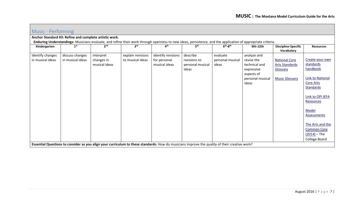<span id="page-6-0"></span>

| Music - Performing |                                                        |                 |                                                                                                                                                             |                    |                  |                  |                  |                                          |                         |  |  |  |
|--------------------|--------------------------------------------------------|-----------------|-------------------------------------------------------------------------------------------------------------------------------------------------------------|--------------------|------------------|------------------|------------------|------------------------------------------|-------------------------|--|--|--|
|                    | Anchor Standard #3: Refine and complete artistic work. |                 |                                                                                                                                                             |                    |                  |                  |                  |                                          |                         |  |  |  |
|                    |                                                        |                 | Enduring Understandings: Musicians evaluate, and refine their work through openness to new ideas, persistence, and the application of appropriate criteria. |                    |                  |                  |                  |                                          |                         |  |  |  |
| Kindergarten       | 1 <sup>st</sup>                                        | 2 <sub>nd</sub> | 3 <sup>rd</sup>                                                                                                                                             | 4 <sup>th</sup>    | 5 <sup>th</sup>  | $6th-8th$        | 9th-12th         | <b>Discipline-Specific</b><br>Vocabulary | <b>Resources</b>        |  |  |  |
| identify changes   | discuss changes                                        | interpret       | explain revisions                                                                                                                                           | identify revisions | describe         | evaluate         | analyze and      |                                          |                         |  |  |  |
| in musical ideas   | in musical ideas                                       | changes in      | to musical ideas                                                                                                                                            | for personal       | revisions to     | personal musical | revise the       | <b>National Core</b>                     | Create your own         |  |  |  |
|                    |                                                        | musical ideas   |                                                                                                                                                             | musical ideas      | personal musical | ideas            | technical and    | <b>Arts Standards</b>                    | standards               |  |  |  |
|                    |                                                        |                 |                                                                                                                                                             |                    | ideas            |                  | expressive       | Glossary                                 | handbook                |  |  |  |
|                    |                                                        |                 |                                                                                                                                                             |                    |                  |                  | aspects of       |                                          |                         |  |  |  |
|                    |                                                        |                 |                                                                                                                                                             |                    |                  |                  | personal musical | <b>Music Glossary</b>                    | <b>Link to National</b> |  |  |  |
|                    |                                                        |                 |                                                                                                                                                             |                    |                  |                  | ideas            |                                          | Core Arts               |  |  |  |
|                    |                                                        |                 |                                                                                                                                                             |                    |                  |                  |                  |                                          | Standards               |  |  |  |
|                    |                                                        |                 |                                                                                                                                                             |                    |                  |                  |                  |                                          |                         |  |  |  |
|                    |                                                        |                 |                                                                                                                                                             |                    |                  |                  |                  |                                          | Link to OPI IEFA        |  |  |  |
|                    |                                                        |                 |                                                                                                                                                             |                    |                  |                  |                  |                                          | Resources               |  |  |  |
|                    |                                                        |                 |                                                                                                                                                             |                    |                  |                  |                  |                                          | Model                   |  |  |  |
|                    |                                                        |                 |                                                                                                                                                             |                    |                  |                  |                  |                                          | Assessments             |  |  |  |
|                    |                                                        |                 |                                                                                                                                                             |                    |                  |                  |                  |                                          |                         |  |  |  |
|                    |                                                        |                 |                                                                                                                                                             |                    |                  |                  |                  |                                          | The Arts and the        |  |  |  |
|                    |                                                        |                 |                                                                                                                                                             |                    |                  |                  |                  |                                          | <b>Common Core</b>      |  |  |  |
|                    |                                                        |                 |                                                                                                                                                             |                    |                  |                  |                  |                                          | $(2014)$ – The          |  |  |  |
|                    |                                                        |                 |                                                                                                                                                             |                    |                  |                  |                  |                                          | College Board           |  |  |  |
|                    |                                                        |                 | Essential Questions to consider as you align your curriculum to these standards: How do musicians improve the quality of their creative work?               |                    |                  |                  |                  |                                          |                         |  |  |  |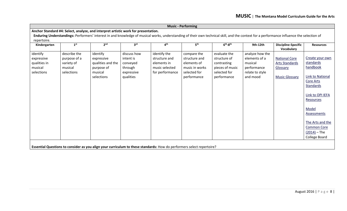|              | <b>Music - Performing</b> |                                                                                                                                                                                           |                 |                 |                 |                 |                 |                                          |                         |  |  |
|--------------|---------------------------|-------------------------------------------------------------------------------------------------------------------------------------------------------------------------------------------|-----------------|-----------------|-----------------|-----------------|-----------------|------------------------------------------|-------------------------|--|--|
|              |                           | Anchor Standard #4: Select, analyze, and interpret artistic work for presentation.                                                                                                        |                 |                 |                 |                 |                 |                                          |                         |  |  |
|              |                           | Enduring Understandings: Performers' interest in and knowledge of musical works, understanding of their own technical skill, and the context for a performance influence the selection of |                 |                 |                 |                 |                 |                                          |                         |  |  |
| repertoire.  |                           |                                                                                                                                                                                           |                 |                 |                 |                 |                 |                                          |                         |  |  |
| Kindergarten | 1 <sup>st</sup>           | 2 <sup>nd</sup>                                                                                                                                                                           | 3 <sup>rd</sup> | 4 <sup>th</sup> | 5 <sup>th</sup> | $6th-8th$       | 9th-12th        | <b>Discipline-Specific</b><br>Vocabulary | <b>Resources</b>        |  |  |
| identify     | describe the              | identify                                                                                                                                                                                  | discuss how     | identify the    | compare the     | evaluate the    | analyze how the |                                          |                         |  |  |
| expressive   | purpose of a              | expressive                                                                                                                                                                                | intent is       | structure and   | structure and   | structure of    | elements of a   | <b>National Core</b>                     | Create your own         |  |  |
| qualities in | variety of                | qualities and the                                                                                                                                                                         | conveyed        | elements in     | elements of     | contrasting     | musical         | <b>Arts Standards</b>                    | standards               |  |  |
| musical      | musical                   | purpose of                                                                                                                                                                                | through         | music selected  | music in works  | pieces of music | performance     | Glossary                                 | handbook                |  |  |
| selections   | selections                | musical                                                                                                                                                                                   | expressive      | for performance | selected for    | selected for    | relate to style |                                          |                         |  |  |
|              |                           | selections                                                                                                                                                                                | qualities       |                 | performance     | performance     | and mood        | <b>Music Glossary</b>                    | <b>Link to National</b> |  |  |
|              |                           |                                                                                                                                                                                           |                 |                 |                 |                 |                 |                                          | <b>Core Arts</b>        |  |  |
|              |                           |                                                                                                                                                                                           |                 |                 |                 |                 |                 |                                          | Standards               |  |  |
|              |                           |                                                                                                                                                                                           |                 |                 |                 |                 |                 |                                          | Link to OPI IEFA        |  |  |
|              |                           |                                                                                                                                                                                           |                 |                 |                 |                 |                 |                                          | Resources               |  |  |
|              |                           |                                                                                                                                                                                           |                 |                 |                 |                 |                 |                                          | Model                   |  |  |
|              |                           |                                                                                                                                                                                           |                 |                 |                 |                 |                 |                                          | <b>Assessments</b>      |  |  |
|              |                           |                                                                                                                                                                                           |                 |                 |                 |                 |                 |                                          | The Arts and the        |  |  |
|              |                           |                                                                                                                                                                                           |                 |                 |                 |                 |                 |                                          | <b>Common Core</b>      |  |  |
|              |                           |                                                                                                                                                                                           |                 |                 |                 |                 |                 |                                          | $(2014)$ – The          |  |  |
|              |                           |                                                                                                                                                                                           |                 |                 |                 |                 |                 |                                          | College Board           |  |  |
|              |                           |                                                                                                                                                                                           |                 |                 |                 |                 |                 |                                          |                         |  |  |
|              |                           | Essential Questions to consider as you align your curriculum to these standards: How do performers select repertoire?                                                                     |                 |                 |                 |                 |                 |                                          |                         |  |  |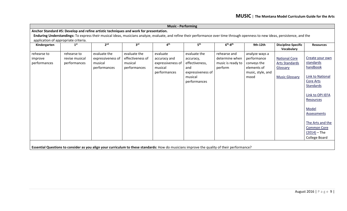| <b>Music - Performing</b>            |                 |                                                                                                                                                                                  |                  |                   |                   |                   |                   |                                          |                         |  |
|--------------------------------------|-----------------|----------------------------------------------------------------------------------------------------------------------------------------------------------------------------------|------------------|-------------------|-------------------|-------------------|-------------------|------------------------------------------|-------------------------|--|
|                                      |                 | Anchor Standard #5: Develop and refine artistic techniques and work for presentation.                                                                                            |                  |                   |                   |                   |                   |                                          |                         |  |
|                                      |                 | Enduring Understandings: To express their musical ideas, musicians analyze, evaluate, and refine their performance over time through openness to new ideas, persistence, and the |                  |                   |                   |                   |                   |                                          |                         |  |
| application of appropriate criteria. |                 |                                                                                                                                                                                  |                  |                   |                   |                   |                   |                                          |                         |  |
| Kindergarten                         | 1 <sup>st</sup> | 2 <sup>nd</sup>                                                                                                                                                                  | 3 <sup>rd</sup>  | 4 <sup>th</sup>   | 5 <sup>th</sup>   | $6th-8th$         | 9th-12th          | <b>Discipline-Specific</b><br>Vocabulary | <b>Resources</b>        |  |
| rehearse to                          | rehearse to     | evaluate the                                                                                                                                                                     | evaluate the     | evaluate          | evaluate the      | rehearse and      | analyze ways a    |                                          |                         |  |
| improve                              | revise musical  | expressiveness of                                                                                                                                                                | effectiveness of | accuracy and      | accuracy,         | determine when    | performance       | <b>National Core</b>                     | Create your own         |  |
| performances                         | performances    | musical                                                                                                                                                                          | musical          | expressiveness of | effectiveness,    | music is ready to | conveys the       | <b>Arts Standards</b>                    | standards               |  |
|                                      |                 | performances                                                                                                                                                                     | performances     | musical           | and               | perform           | elements of       | Glossary                                 | handbook                |  |
|                                      |                 |                                                                                                                                                                                  |                  | performances      | expressiveness of |                   | music, style, and |                                          |                         |  |
|                                      |                 |                                                                                                                                                                                  |                  |                   | musical           |                   | mood              | <b>Music Glossary</b>                    | <b>Link to National</b> |  |
|                                      |                 |                                                                                                                                                                                  |                  |                   | performances      |                   |                   |                                          | Core Arts               |  |
|                                      |                 |                                                                                                                                                                                  |                  |                   |                   |                   |                   |                                          | Standards               |  |
|                                      |                 |                                                                                                                                                                                  |                  |                   |                   |                   |                   |                                          |                         |  |
|                                      |                 |                                                                                                                                                                                  |                  |                   |                   |                   |                   |                                          | Link to OPI IEFA        |  |
|                                      |                 |                                                                                                                                                                                  |                  |                   |                   |                   |                   |                                          | Resources               |  |
|                                      |                 |                                                                                                                                                                                  |                  |                   |                   |                   |                   |                                          |                         |  |
|                                      |                 |                                                                                                                                                                                  |                  |                   |                   |                   |                   |                                          | Model                   |  |
|                                      |                 |                                                                                                                                                                                  |                  |                   |                   |                   |                   |                                          | <b>Assessments</b>      |  |
|                                      |                 |                                                                                                                                                                                  |                  |                   |                   |                   |                   |                                          |                         |  |
|                                      |                 |                                                                                                                                                                                  |                  |                   |                   |                   |                   |                                          | The Arts and the        |  |
|                                      |                 |                                                                                                                                                                                  |                  |                   |                   |                   |                   |                                          | <b>Common Core</b>      |  |
|                                      |                 |                                                                                                                                                                                  |                  |                   |                   |                   |                   |                                          | $(2014)$ – The          |  |
|                                      |                 |                                                                                                                                                                                  |                  |                   |                   |                   |                   |                                          | College Board           |  |
|                                      |                 |                                                                                                                                                                                  |                  |                   |                   |                   |                   |                                          |                         |  |
|                                      |                 | Essential Questions to consider as you align your curriculum to these standards: How do musicians improve the quality of their performance?                                      |                  |                   |                   |                   |                   |                                          |                         |  |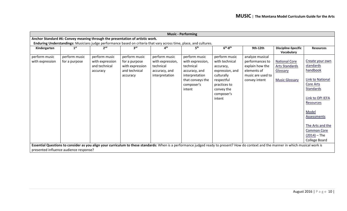|                 | <b>Music - Performing</b>              |                                                                               |                 |                  |                                                                                                                    |                      |                                                                                                                                                                                        |                                          |                    |  |  |
|-----------------|----------------------------------------|-------------------------------------------------------------------------------|-----------------|------------------|--------------------------------------------------------------------------------------------------------------------|----------------------|----------------------------------------------------------------------------------------------------------------------------------------------------------------------------------------|------------------------------------------|--------------------|--|--|
|                 |                                        | Anchor Standard #6: Convey meaning through the presentation of artistic work. |                 |                  |                                                                                                                    |                      |                                                                                                                                                                                        |                                          |                    |  |  |
|                 |                                        |                                                                               |                 |                  | Enduring Understandings: Musicians judge performance based on criteria that vary across time, place, and cultures. |                      |                                                                                                                                                                                        |                                          |                    |  |  |
| Kindergarten    | 1 <sup>st</sup>                        | 2 <sub>nd</sub>                                                               | <b>ard</b>      | ⊿ <sup>th</sup>  | 5 <sup>th</sup>                                                                                                    | $6th-8th$            | 9th-12th                                                                                                                                                                               | <b>Discipline-Specific</b><br>Vocabulary | <b>Resources</b>   |  |  |
| perform music   | perform music                          | perform music                                                                 | perform music   | perform music    | perform music                                                                                                      | perform music        | analyze musical                                                                                                                                                                        |                                          |                    |  |  |
| with expression | for a purpose                          | with expression                                                               | for a purpose   | with expression, | with expression,                                                                                                   | with technical       | performances to                                                                                                                                                                        | <b>National Core</b>                     | Create your own    |  |  |
|                 |                                        | and technical                                                                 | with expression | technical        | technical                                                                                                          | accuracy,            | explain how the                                                                                                                                                                        | <b>Arts Standards</b>                    | standards          |  |  |
|                 |                                        | accuracy                                                                      | and technical   | accuracy, and    | accuracy, and                                                                                                      | expression, and      | elements of                                                                                                                                                                            | Glossary                                 | handbook           |  |  |
|                 |                                        |                                                                               | accuracy        | interpretation   | interpretation                                                                                                     | culturally           | music are used to                                                                                                                                                                      |                                          |                    |  |  |
|                 |                                        |                                                                               |                 |                  | that conveys the                                                                                                   | respectful           | convey intent                                                                                                                                                                          | <b>Music Glossary</b>                    | Link to National   |  |  |
|                 |                                        |                                                                               |                 |                  | composer's                                                                                                         | practices to         |                                                                                                                                                                                        |                                          | Core Arts          |  |  |
|                 |                                        |                                                                               |                 |                  | intent                                                                                                             | convey the           |                                                                                                                                                                                        |                                          | Standards          |  |  |
|                 |                                        |                                                                               |                 |                  |                                                                                                                    | composer's<br>intent |                                                                                                                                                                                        |                                          | Link to OPI IEFA   |  |  |
|                 |                                        |                                                                               |                 |                  |                                                                                                                    |                      |                                                                                                                                                                                        |                                          | Resources          |  |  |
|                 |                                        |                                                                               |                 |                  |                                                                                                                    |                      |                                                                                                                                                                                        |                                          |                    |  |  |
|                 |                                        |                                                                               |                 |                  |                                                                                                                    |                      |                                                                                                                                                                                        |                                          | Model              |  |  |
|                 |                                        |                                                                               |                 |                  |                                                                                                                    |                      |                                                                                                                                                                                        |                                          | <b>Assessments</b> |  |  |
|                 |                                        |                                                                               |                 |                  |                                                                                                                    |                      |                                                                                                                                                                                        |                                          |                    |  |  |
|                 |                                        |                                                                               |                 |                  |                                                                                                                    |                      |                                                                                                                                                                                        |                                          | The Arts and the   |  |  |
|                 |                                        |                                                                               |                 |                  |                                                                                                                    |                      |                                                                                                                                                                                        |                                          | <b>Common Core</b> |  |  |
|                 |                                        |                                                                               |                 |                  |                                                                                                                    |                      |                                                                                                                                                                                        |                                          | $(2014)$ – The     |  |  |
|                 |                                        |                                                                               |                 |                  |                                                                                                                    |                      |                                                                                                                                                                                        |                                          | College Board      |  |  |
|                 |                                        |                                                                               |                 |                  |                                                                                                                    |                      | Essential Questions to consider as you align your curriculum to these standards: When is a performance judged ready to present? How do context and the manner in which musical work is |                                          |                    |  |  |
|                 | presented influence audience response? |                                                                               |                 |                  |                                                                                                                    |                      |                                                                                                                                                                                        |                                          |                    |  |  |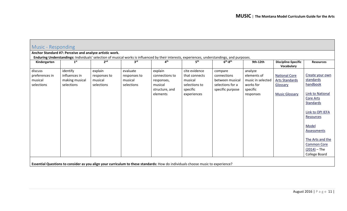<span id="page-10-0"></span>

| Music - Responding |                                                                                                                                 |                 |                 |                          |                 |                                                                                                                                               |                   |                                          |                                             |  |  |
|--------------------|---------------------------------------------------------------------------------------------------------------------------------|-----------------|-----------------|--------------------------|-----------------|-----------------------------------------------------------------------------------------------------------------------------------------------|-------------------|------------------------------------------|---------------------------------------------|--|--|
|                    | Anchor Standard #7: Perceive and analyze artistic work.                                                                         |                 |                 |                          |                 |                                                                                                                                               |                   |                                          |                                             |  |  |
|                    |                                                                                                                                 |                 |                 |                          |                 | Enduring Understandings: Individuals' selection of musical works is influenced by their interests, experiences, understandings, and purposes. |                   |                                          |                                             |  |  |
| Kindergarten       | 1 <sup>st</sup>                                                                                                                 | 2 <sub>nd</sub> | 3 <sup>rd</sup> | $\mathbf{A}^{\text{th}}$ | 5 <sup>th</sup> | $6th-8th$                                                                                                                                     | 9th-12th          | <b>Discipline-Specific</b><br>Vocabulary | <b>Resources</b>                            |  |  |
| discuss            | identify                                                                                                                        | explain         | evaluate        | explain                  | cite evidence   | compare                                                                                                                                       | analyze           |                                          |                                             |  |  |
| preferences in     | influences in                                                                                                                   | responses to    | responses to    | connections to           | that connects   | connections                                                                                                                                   | elements of       | <b>National Core</b>                     | Create your own                             |  |  |
| musical            | making musical                                                                                                                  | musical         | musical         | responses,               | musical         | between musical                                                                                                                               | music in selected | <b>Arts Standards</b>                    | standards                                   |  |  |
| selections         | selections                                                                                                                      | selections      | selections      | musical                  | selections to   | selections for a                                                                                                                              | works for         | Glossary                                 | handbook                                    |  |  |
|                    |                                                                                                                                 |                 |                 | structure, and           | specific        | specific purpose                                                                                                                              | specific          |                                          |                                             |  |  |
|                    |                                                                                                                                 |                 |                 | elements                 | experiences     |                                                                                                                                               | responses         | <b>Music Glossary</b>                    | <b>Link to National</b><br><b>Core Arts</b> |  |  |
|                    |                                                                                                                                 |                 |                 |                          |                 |                                                                                                                                               |                   |                                          | Standards                                   |  |  |
|                    |                                                                                                                                 |                 |                 |                          |                 |                                                                                                                                               |                   |                                          |                                             |  |  |
|                    |                                                                                                                                 |                 |                 |                          |                 |                                                                                                                                               |                   |                                          | Link to OPI IEFA                            |  |  |
|                    |                                                                                                                                 |                 |                 |                          |                 |                                                                                                                                               |                   |                                          | Resources                                   |  |  |
|                    |                                                                                                                                 |                 |                 |                          |                 |                                                                                                                                               |                   |                                          | Model                                       |  |  |
|                    |                                                                                                                                 |                 |                 |                          |                 |                                                                                                                                               |                   |                                          | Assessments                                 |  |  |
|                    |                                                                                                                                 |                 |                 |                          |                 |                                                                                                                                               |                   |                                          |                                             |  |  |
|                    |                                                                                                                                 |                 |                 |                          |                 |                                                                                                                                               |                   |                                          | The Arts and the                            |  |  |
|                    |                                                                                                                                 |                 |                 |                          |                 |                                                                                                                                               |                   |                                          | <b>Common Core</b>                          |  |  |
|                    |                                                                                                                                 |                 |                 |                          |                 |                                                                                                                                               |                   |                                          | $(2014)$ – The                              |  |  |
|                    |                                                                                                                                 |                 |                 |                          |                 |                                                                                                                                               |                   |                                          | College Board                               |  |  |
|                    | Essential Questions to consider as you align your curriculum to these standards: How do individuals choose music to experience? |                 |                 |                          |                 |                                                                                                                                               |                   |                                          |                                             |  |  |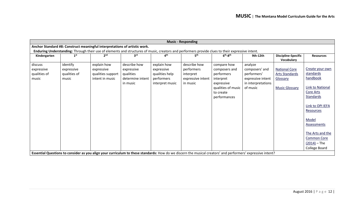| <b>Music - Responding</b>                      |                                                                                                                                                                                                                                |                                                                   |                                                                         |                                                                              |                                                                                                                                                             |                                                                                                                          |                                                                                                 |                                                                                    |                                                                                                                                                                                                                                     |  |  |
|------------------------------------------------|--------------------------------------------------------------------------------------------------------------------------------------------------------------------------------------------------------------------------------|-------------------------------------------------------------------|-------------------------------------------------------------------------|------------------------------------------------------------------------------|-------------------------------------------------------------------------------------------------------------------------------------------------------------|--------------------------------------------------------------------------------------------------------------------------|-------------------------------------------------------------------------------------------------|------------------------------------------------------------------------------------|-------------------------------------------------------------------------------------------------------------------------------------------------------------------------------------------------------------------------------------|--|--|
|                                                | Anchor Standard #8: Construct meaningful interpretations of artistic work.<br>Enduring Understanding: Through their use of elements and structures of music, creators and performers provide clues to their expressive intent. |                                                                   |                                                                         |                                                                              |                                                                                                                                                             |                                                                                                                          |                                                                                                 |                                                                                    |                                                                                                                                                                                                                                     |  |  |
| Kindergarten                                   | 1 <sup>st</sup>                                                                                                                                                                                                                |                                                                   | 3 <sup>rd</sup>                                                         | 4 <sup>th</sup>                                                              | 5 <sup>th</sup>                                                                                                                                             | $6th - 8th$                                                                                                              | 9th-12th                                                                                        | <b>Discipline-Specific</b><br><b>Vocabulary</b>                                    | <b>Resources</b>                                                                                                                                                                                                                    |  |  |
| discuss<br>expressive<br>qualities of<br>music | identify<br>expressive<br>qualities of<br>music                                                                                                                                                                                | explain how<br>expressive<br>qualities support<br>intent in music | describe how<br>expressive<br>qualities<br>determine intent<br>in music | explain how<br>expressive<br>qualities help<br>performers<br>interpret music | describe how<br>performers<br>interpret<br>expressive intent<br>in music                                                                                    | compare how<br>composers and<br>performers<br>interpret<br>expressive<br>qualities of music<br>to create<br>performances | analyze<br>composers' and<br>performers'<br>expressive intent<br>in interpretations<br>of music | <b>National Core</b><br><b>Arts Standards</b><br>Glossary<br><b>Music Glossary</b> | Create your own<br>standards<br>handbook<br>Link to National<br>Core Arts<br><b>Standards</b><br>Link to OPI IEFA<br>Resources<br>Model<br>Assessments<br>The Arts and the<br><b>Common Core</b><br>$(2014)$ – The<br>College Board |  |  |
|                                                |                                                                                                                                                                                                                                |                                                                   |                                                                         |                                                                              | Essential Questions to consider as you align your curriculum to these standards: How do we discern the musical creators' and performers' expressive intent? |                                                                                                                          |                                                                                                 |                                                                                    |                                                                                                                                                                                                                                     |  |  |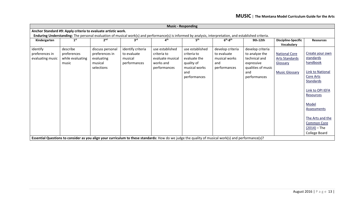|                  | <b>Music - Responding</b>                                     |                  |                   |                                                                                                                                                          |                 |                  |                    |                                          |                               |  |  |
|------------------|---------------------------------------------------------------|------------------|-------------------|----------------------------------------------------------------------------------------------------------------------------------------------------------|-----------------|------------------|--------------------|------------------------------------------|-------------------------------|--|--|
|                  | Anchor Standard #9: Apply criteria to evaluate artistic work. |                  |                   |                                                                                                                                                          |                 |                  |                    |                                          |                               |  |  |
|                  |                                                               |                  |                   | Enduring Understanding: The personal evaluation of musical work(s) and performance(s) is informed by analysis, interpretation, and established criteria. |                 |                  |                    |                                          |                               |  |  |
| Kindergarten     | 1 <sup>st</sup>                                               | 2 <sup>nd</sup>  | $3^{\text{rd}}$   | ⊿ <sup>th</sup>                                                                                                                                          | 5 <sup>th</sup> | $6th-8th$        | 9th-12th           | <b>Discipline-Specific</b><br>Vocabulary | <b>Resources</b>              |  |  |
| identify         | describe                                                      | discuss personal | identify criteria | use established                                                                                                                                          | use established | develop criteria | develop criteria   |                                          |                               |  |  |
| preferences in   | preferences                                                   | preferences in   | to evaluate       | criteria to                                                                                                                                              | criteria to     | to evaluate      | to analyze the     | <b>National Core</b>                     | Create your own               |  |  |
| evaluating music | while evaluating                                              | evaluating       | musical           | evaluate musical                                                                                                                                         | evaluate the    | musical works    | technical and      | <b>Arts Standards</b>                    | standards                     |  |  |
|                  | music                                                         | musical          | performances      | works and                                                                                                                                                | quality of      | and              | expressive         | Glossary                                 | handbook                      |  |  |
|                  |                                                               | selections       |                   | performances                                                                                                                                             | musical works   | performances     | qualities of music |                                          |                               |  |  |
|                  |                                                               |                  |                   |                                                                                                                                                          | and             |                  | and                | <b>Music Glossary</b>                    | <b>Link to National</b>       |  |  |
|                  |                                                               |                  |                   |                                                                                                                                                          | performances    |                  | performances       |                                          | Core Arts                     |  |  |
|                  |                                                               |                  |                   |                                                                                                                                                          |                 |                  |                    |                                          | Standards                     |  |  |
|                  |                                                               |                  |                   |                                                                                                                                                          |                 |                  |                    |                                          | Link to OPI IEFA<br>Resources |  |  |
|                  |                                                               |                  |                   |                                                                                                                                                          |                 |                  |                    |                                          | Model<br><b>Assessments</b>   |  |  |
|                  |                                                               |                  |                   |                                                                                                                                                          |                 |                  |                    |                                          | The Arts and the              |  |  |
|                  |                                                               |                  |                   |                                                                                                                                                          |                 |                  |                    |                                          | <b>Common Core</b>            |  |  |
|                  |                                                               |                  |                   |                                                                                                                                                          |                 |                  |                    |                                          | $(2014)$ – The                |  |  |
|                  |                                                               |                  |                   |                                                                                                                                                          |                 |                  |                    |                                          | College Board                 |  |  |
|                  |                                                               |                  |                   | Essential Questions to consider as you align your curriculum to these standards: How do we judge the quality of musical work(s) and performance(s)?      |                 |                  |                    |                                          |                               |  |  |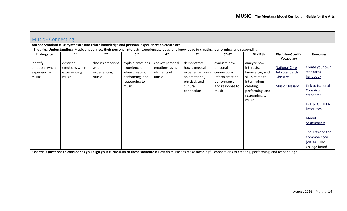| <b>Music - Connecting</b>                          |                                                    |                                                                                                                                                                        |                                                                                                |                                                           |                                                                                                              |                                                                                                         |                                                                                                                                          |                                                                                    |                                                                                                                                                                                                                                     |  |  |
|----------------------------------------------------|----------------------------------------------------|------------------------------------------------------------------------------------------------------------------------------------------------------------------------|------------------------------------------------------------------------------------------------|-----------------------------------------------------------|--------------------------------------------------------------------------------------------------------------|---------------------------------------------------------------------------------------------------------|------------------------------------------------------------------------------------------------------------------------------------------|------------------------------------------------------------------------------------|-------------------------------------------------------------------------------------------------------------------------------------------------------------------------------------------------------------------------------------|--|--|
|                                                    |                                                    | Anchor Standard #10: Synthesize and relate knowledge and personal experiences to create art.                                                                           |                                                                                                |                                                           |                                                                                                              |                                                                                                         |                                                                                                                                          |                                                                                    |                                                                                                                                                                                                                                     |  |  |
|                                                    |                                                    | Enduring Understanding: Musicians connect their personal interests, experiences, ideas, and knowledge to creating, performing, and responding.                         |                                                                                                |                                                           |                                                                                                              |                                                                                                         |                                                                                                                                          |                                                                                    |                                                                                                                                                                                                                                     |  |  |
| Kindergarten                                       | 1 <sup>st</sup>                                    | 2 <sup>nd</sup>                                                                                                                                                        | 3 <sup>rd</sup>                                                                                | $\mathbf{A}^{\text{th}}$                                  | 5 <sup>th</sup>                                                                                              | $6th-8th$                                                                                               | 9th-12th                                                                                                                                 | <b>Discipline-Specific</b><br>Vocabulary                                           | <b>Resources</b>                                                                                                                                                                                                                    |  |  |
| identify<br>emotions when<br>experiencing<br>music | describe<br>emotions when<br>experiencing<br>music | discuss emotions<br>when<br>experiencing<br>music                                                                                                                      | explain emotions<br>experienced<br>when creating,<br>performing, and<br>responding to<br>music | convey personal<br>emotions using<br>elements of<br>music | demonstrate<br>how a musical<br>experience forms<br>an emotional,<br>physical, and<br>cultural<br>connection | evaluate how<br>personal<br>connections<br>inform creation,<br>performance,<br>and response to<br>music | analyze how<br>interests,<br>knowledge, and<br>skills relate to<br>intent when<br>creating,<br>performing, and<br>responding to<br>music | <b>National Core</b><br><b>Arts Standards</b><br>Glossary<br><b>Music Glossary</b> | Create your own<br>standards<br>handbook<br>Link to National<br>Core Arts<br><b>Standards</b><br>Link to OPI IEFA<br>Resources<br>Model<br>Assessments<br>The Arts and the<br><b>Common Core</b><br>$(2014) - The$<br>College Board |  |  |
|                                                    |                                                    | Essential Questions to consider as you align your curriculum to these standards: How do musicians make meaningful connections to creating, performing, and responding? |                                                                                                |                                                           |                                                                                                              |                                                                                                         |                                                                                                                                          |                                                                                    |                                                                                                                                                                                                                                     |  |  |

<span id="page-13-0"></span> $\overline{ }$ 

m.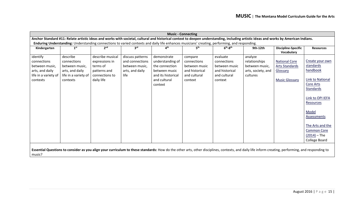| <b>Music - Connecting</b>                                                                                                                                                                          |                                         |                                |                         |                                     |                                |                                |                                |                                          |                    |
|----------------------------------------------------------------------------------------------------------------------------------------------------------------------------------------------------|-----------------------------------------|--------------------------------|-------------------------|-------------------------------------|--------------------------------|--------------------------------|--------------------------------|------------------------------------------|--------------------|
| Anchor Standard #11: Relate artistic ideas and works with societal, cultural and historical context to deepen understanding, including artistic ideas and works by American Indians.               |                                         |                                |                         |                                     |                                |                                |                                |                                          |                    |
| Enduring Understanding: Understanding connections to varied contexts and daily life enhances musicians' creating, performing, and responding.                                                      |                                         |                                |                         |                                     |                                |                                |                                |                                          |                    |
| Kindergarten                                                                                                                                                                                       | 1 <sup>st</sup>                         | 2 <sub>nd</sub>                | 3 <sup>rd</sup>         | 4 <sup>th</sup>                     | 5 <sup>th</sup>                | $6th-8th$                      | 9th-12th                       | <b>Discipline-Specific</b><br>Vocabulary | <b>Resources</b>   |
| identify                                                                                                                                                                                           | describe                                | describe musical               | discuss patterns        | demonstrate                         | compare                        | evaluate                       | analyze                        |                                          |                    |
| connections                                                                                                                                                                                        | connections                             | expressions in                 | and connections         | understanding of                    | connections                    | connections                    | relationships                  | <b>National Core</b>                     | Create your own    |
| between music,                                                                                                                                                                                     | between music,                          | terms of                       | between music,          | the connection                      | between music                  | between music                  | between music,                 | <b>Arts Standards</b>                    | standards          |
| arts, and daily<br>life in a variety of                                                                                                                                                            | arts, and daily<br>life in a variety of | patterns and<br>connections to | arts, and daily<br>life | between music<br>and its historical | and historical<br>and cultural | and historical<br>and cultural | arts, society, and<br>cultures | Glossary                                 | handbook           |
| contexts                                                                                                                                                                                           | contexts                                | daily life                     |                         | and cultural                        | context                        | context                        |                                | <b>Music Glossary</b>                    | Link to National   |
|                                                                                                                                                                                                    |                                         |                                |                         | context                             |                                |                                |                                |                                          | <b>Core Arts</b>   |
|                                                                                                                                                                                                    |                                         |                                |                         |                                     |                                |                                |                                |                                          | <b>Standards</b>   |
|                                                                                                                                                                                                    |                                         |                                |                         |                                     |                                |                                |                                |                                          |                    |
|                                                                                                                                                                                                    |                                         |                                |                         |                                     |                                |                                |                                |                                          | Link to OPI IEFA   |
|                                                                                                                                                                                                    |                                         |                                |                         |                                     |                                |                                |                                |                                          | Resources          |
|                                                                                                                                                                                                    |                                         |                                |                         |                                     |                                |                                |                                |                                          | Model              |
|                                                                                                                                                                                                    |                                         |                                |                         |                                     |                                |                                |                                |                                          | Assessments        |
|                                                                                                                                                                                                    |                                         |                                |                         |                                     |                                |                                |                                |                                          | The Arts and the   |
|                                                                                                                                                                                                    |                                         |                                |                         |                                     |                                |                                |                                |                                          | <b>Common Core</b> |
|                                                                                                                                                                                                    |                                         |                                |                         |                                     |                                |                                |                                |                                          | $(2014) - The$     |
|                                                                                                                                                                                                    |                                         |                                |                         |                                     |                                |                                |                                |                                          | College Board      |
| Essential Questions to consider as you align your curriculum to these standards: How do the other arts, other disciplines, contexts, and daily life inform creating, performing, and responding to |                                         |                                |                         |                                     |                                |                                |                                |                                          |                    |

music?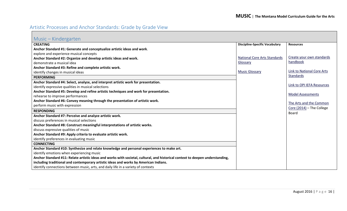## <span id="page-15-0"></span>Artistic Processes and Anchor Standards: Grade by Grade View

<span id="page-15-1"></span>

| Music – Kindergarten                                                                                                          |                                       |                                      |
|-------------------------------------------------------------------------------------------------------------------------------|---------------------------------------|--------------------------------------|
| <b>CREATING</b>                                                                                                               | <b>Discipline-Specific Vocabulary</b> | <b>Resources</b>                     |
| Anchor Standard #1: Generate and conceptualize artistic ideas and work.                                                       |                                       |                                      |
| explore and experience musical concepts                                                                                       |                                       |                                      |
| Anchor Standard #2: Organize and develop artistic ideas and work.                                                             | <b>National Core Arts Standards</b>   | Create your own standards            |
| demonstrate a musical idea                                                                                                    | Glossary                              | handbook                             |
| Anchor Standard #3: Refine and complete artistic work.                                                                        |                                       |                                      |
| identify changes in musical ideas                                                                                             | <b>Music Glossary</b>                 | Link to National Core Arts           |
| <b>PERFORMING</b>                                                                                                             |                                       | Standards                            |
| Anchor Standard #4: Select, analyze, and interpret artistic work for presentation.                                            |                                       |                                      |
| identify expressive qualities in musical selections                                                                           |                                       | Link to OPI IEFA Resources           |
| Anchor Standard #5: Develop and refine artistic techniques and work for presentation.                                         |                                       |                                      |
| rehearse to improve performances                                                                                              |                                       | <b>Model Assessments</b>             |
| Anchor Standard #6: Convey meaning through the presentation of artistic work.                                                 |                                       | The Arts and the Common              |
| perform music with expression                                                                                                 |                                       |                                      |
| <b>RESPONDING</b>                                                                                                             |                                       | Core $(2014)$ – The College<br>Board |
| Anchor Standard #7: Perceive and analyze artistic work.                                                                       |                                       |                                      |
| discuss preferences in musical selections                                                                                     |                                       |                                      |
| Anchor Standard #8: Construct meaningful interpretations of artistic works.                                                   |                                       |                                      |
| discuss expressive qualities of music                                                                                         |                                       |                                      |
| Anchor Standard #9: Apply criteria to evaluate artistic work.                                                                 |                                       |                                      |
| identify preferences in evaluating music                                                                                      |                                       |                                      |
| <b>CONNECTING</b>                                                                                                             |                                       |                                      |
| Anchor Standard #10: Synthesize and relate knowledge and personal experiences to make art.                                    |                                       |                                      |
| identify emotions when experiencing music                                                                                     |                                       |                                      |
| Anchor Standard #11: Relate artistic ideas and works with societal, cultural, and historical context to deepen understanding, |                                       |                                      |
| including traditional and contemporary artistic ideas and works by American Indians.                                          |                                       |                                      |
| identify connections between music, arts, and daily life in a variety of contexts                                             |                                       |                                      |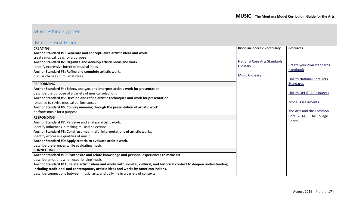## Music – Kindergarten

#### <span id="page-16-0"></span>Music – First Grade

| $1$ viusi $\cup$ $-$ i ii st Orau $\circ$                                                                                     |                                       |                                   |
|-------------------------------------------------------------------------------------------------------------------------------|---------------------------------------|-----------------------------------|
| <b>CREATING</b>                                                                                                               | <b>Discipline-Specific Vocabulary</b> | <b>Resources</b>                  |
| Anchor Standard #1: Generate and conceptualize artistic ideas and work.                                                       |                                       |                                   |
| create musical ideas for a purpose                                                                                            |                                       |                                   |
| Anchor Standard #2: Organize and develop artistic ideas and work.                                                             | <b>National Core Arts Standards</b>   |                                   |
| identify expressive intent of musical ideas                                                                                   | Glossary                              | Create your own standards         |
| Anchor Standard #3: Refine and complete artistic work.                                                                        |                                       | handbook                          |
| discuss changes in musical ideas                                                                                              | <b>Music Glossary</b>                 |                                   |
|                                                                                                                               |                                       | <b>Link to National Core Arts</b> |
| <b>PERFORMING</b>                                                                                                             |                                       | Standards                         |
| Anchor Standard #4: Select, analyze, and interpret artistic work for presentation.                                            |                                       |                                   |
| describe the purpose of a variety of musical selections                                                                       |                                       | Link to OPI IEFA Resources        |
| Anchor Standard #5: Develop and refine artistic techniques and work for presentation.                                         |                                       |                                   |
| rehearse to revise musical performances                                                                                       |                                       | <b>Model Assessments</b>          |
| Anchor Standard #6: Convey meaning through the presentation of artistic work.                                                 |                                       |                                   |
| perform music for a purpose                                                                                                   |                                       | The Arts and the Common           |
| <b>RESPONDING</b>                                                                                                             |                                       | Core (2014) - The College         |
| Anchor Standard #7: Perceive and analyze artistic work.                                                                       |                                       | <b>Board</b>                      |
| identify influences in making musical selections                                                                              |                                       |                                   |
| Anchor Standard #8: Construct meaningful interpretations of artistic works.                                                   |                                       |                                   |
| identify expressive qualities of music                                                                                        |                                       |                                   |
| Anchor Standard #9: Apply criteria to evaluate artistic work.                                                                 |                                       |                                   |
| describe preferences while evaluating music                                                                                   |                                       |                                   |
| <b>CONNECTING</b>                                                                                                             |                                       |                                   |
| Anchor Standard #10: Synthesize and relate knowledge and personal experiences to make art.                                    |                                       |                                   |
| describe emotions when experiencing music                                                                                     |                                       |                                   |
| Anchor Standard #11: Relate artistic ideas and works with societal, cultural, and historical context to deepen understanding, |                                       |                                   |
| including traditional and contemporary artistic ideas and works by American Indians.                                          |                                       |                                   |
| describe connections between music, arts, and daily life in a variety of contexts                                             |                                       |                                   |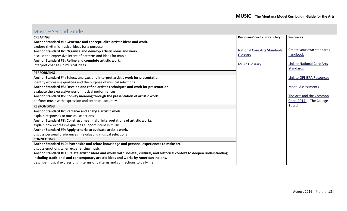#### <span id="page-17-0"></span>Music – Second Grade

| <u>iviusiu</u><br>- JUULIU ULAUU                                                                                              |                                       |                             |
|-------------------------------------------------------------------------------------------------------------------------------|---------------------------------------|-----------------------------|
| <b>CREATING</b>                                                                                                               | <b>Discipline-Specific Vocabulary</b> | <b>Resources</b>            |
| Anchor Standard #1: Generate and conceptualize artistic ideas and work.                                                       |                                       |                             |
| explore rhythmic musical ideas for a purpose                                                                                  |                                       |                             |
| Anchor Standard #2: Organize and develop artistic ideas and work.                                                             | <b>National Core Arts Standards</b>   | Create your own standards   |
| discuss the expressive intent of patterns and ideas for music                                                                 | Glossary                              | handbook                    |
| Anchor Standard #3: Refine and complete artistic work.                                                                        |                                       |                             |
| interpret changes in musical ideas                                                                                            | <b>Music Glossary</b>                 | Link to National Core Arts  |
|                                                                                                                               |                                       | Standards                   |
| <b>PERFORMING</b>                                                                                                             |                                       |                             |
| Anchor Standard #4: Select, analyze, and interpret artistic work for presentation.                                            |                                       | Link to OPI IEFA Resources  |
| identify expressive qualities and the purpose of musical selections                                                           |                                       |                             |
| Anchor Standard #5: Develop and refine artistic techniques and work for presentation.                                         |                                       | <b>Model Assessments</b>    |
| evaluate the expressiveness of musical performances                                                                           |                                       |                             |
| Anchor Standard #6: Convey meaning through the presentation of artistic work.                                                 |                                       | The Arts and the Common     |
| perform music with expression and technical accuracy                                                                          |                                       | Core $(2014)$ – The College |
| <b>RESPONDING</b>                                                                                                             |                                       | <b>Board</b>                |
| Anchor Standard #7: Perceive and analyze artistic work.                                                                       |                                       |                             |
| explain responses to musical selections                                                                                       |                                       |                             |
| Anchor Standard #8: Construct meaningful interpretations of artistic works.                                                   |                                       |                             |
| explain how expressive qualities support intent in music                                                                      |                                       |                             |
| Anchor Standard #9: Apply criteria to evaluate artistic work.                                                                 |                                       |                             |
| discuss personal preferences in evaluating musical selections                                                                 |                                       |                             |
| <b>CONNECTING</b>                                                                                                             |                                       |                             |
| Anchor Standard #10: Synthesize and relate knowledge and personal experiences to make art.                                    |                                       |                             |
| discuss emotions when experiencing music                                                                                      |                                       |                             |
| Anchor Standard #11: Relate artistic ideas and works with societal, cultural, and historical context to deepen understanding, |                                       |                             |
| including traditional and contemporary artistic ideas and works by American Indians.                                          |                                       |                             |
| describe musical expressions in terms of patterns and connections to daily life                                               |                                       |                             |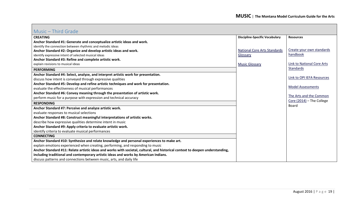### <span id="page-18-0"></span>Music – Third Grade

| TVIUJIU<br>THILY VIGUC                                                                                                        |                                       |                            |
|-------------------------------------------------------------------------------------------------------------------------------|---------------------------------------|----------------------------|
| <b>CREATING</b>                                                                                                               | <b>Discipline-Specific Vocabulary</b> | <b>Resources</b>           |
| Anchor Standard #1: Generate and conceptualize artistic ideas and work.                                                       |                                       |                            |
| identify the connection between rhythmic and melodic ideas                                                                    |                                       |                            |
| Anchor Standard #2: Organize and develop artistic ideas and work.                                                             | <b>National Core Arts Standards</b>   | Create your own standards  |
| identify expressive intent of selected musical ideas                                                                          | Glossary                              | handbook                   |
| Anchor Standard #3: Refine and complete artistic work.                                                                        |                                       |                            |
| explain revisions to musical ideas                                                                                            | <b>Music Glossary</b>                 | Link to National Core Arts |
| <b>PERFORMING</b>                                                                                                             |                                       | Standards                  |
| Anchor Standard #4: Select, analyze, and interpret artistic work for presentation.                                            |                                       |                            |
| discuss how intent is conveyed through expressive qualities                                                                   |                                       | Link to OPI IEFA Resources |
| Anchor Standard #5: Develop and refine artistic techniques and work for presentation.                                         |                                       |                            |
| evaluate the effectiveness of musical performances                                                                            |                                       | <b>Model Assessments</b>   |
| Anchor Standard #6: Convey meaning through the presentation of artistic work.                                                 |                                       |                            |
| perform music for a purpose with expression and technical accuracy                                                            |                                       | The Arts and the Common    |
| <b>RESPONDING</b>                                                                                                             |                                       | Core (2014) - The College  |
| Anchor Standard #7: Perceive and analyze artistic work.                                                                       |                                       | Board                      |
| evaluate responses to musical selections                                                                                      |                                       |                            |
| Anchor Standard #8: Construct meaningful interpretations of artistic works.                                                   |                                       |                            |
| describe how expressive qualities determine intent in music                                                                   |                                       |                            |
| Anchor Standard #9: Apply criteria to evaluate artistic work.                                                                 |                                       |                            |
| identify criteria to evaluate musical performances                                                                            |                                       |                            |
| <b>CONNECTING</b>                                                                                                             |                                       |                            |
| Anchor Standard #10: Synthesize and relate knowledge and personal experiences to make art.                                    |                                       |                            |
| explain emotions experienced when creating, performing, and responding to music                                               |                                       |                            |
| Anchor Standard #11: Relate artistic ideas and works with societal, cultural, and historical context to deepen understanding, |                                       |                            |
| including traditional and contemporary artistic ideas and works by American Indians.                                          |                                       |                            |
| discuss patterns and connections between music, arts, and daily life                                                          |                                       |                            |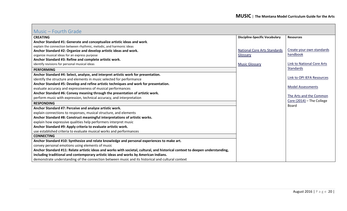#### <span id="page-19-0"></span>Music – Fourth Grade

| <b>CREATING</b>                                                                                                               | <b>Discipline-Specific Vocabulary</b> | <b>Resources</b>            |
|-------------------------------------------------------------------------------------------------------------------------------|---------------------------------------|-----------------------------|
| Anchor Standard #1: Generate and conceptualize artistic ideas and work.                                                       |                                       |                             |
| explain the connection between rhythmic, melodic, and harmonic ideas                                                          |                                       |                             |
| Anchor Standard #2: Organize and develop artistic ideas and work.                                                             | <b>National Core Arts Standards</b>   | Create your own standards   |
| organize musical ideas for an express purpose                                                                                 | Glossary                              | handbook                    |
| Anchor Standard #3: Refine and complete artistic work.                                                                        |                                       |                             |
| identify revisions for personal musical ideas                                                                                 | <b>Music Glossary</b>                 | Link to National Core Arts  |
| <b>PERFORMING</b>                                                                                                             |                                       | <b>Standards</b>            |
| Anchor Standard #4: Select, analyze, and interpret artistic work for presentation.                                            |                                       |                             |
| identify the structure and elements in music selected for performance                                                         |                                       | Link to OPI IEFA Resources  |
| Anchor Standard #5: Develop and refine artistic techniques and work for presentation.                                         |                                       |                             |
| evaluate accuracy and expressiveness of musical performances                                                                  |                                       | <b>Model Assessments</b>    |
| Anchor Standard #6: Convey meaning through the presentation of artistic work.                                                 |                                       |                             |
| perform music with expression, technical accuracy, and interpretation                                                         |                                       | The Arts and the Common     |
| <b>RESPONDING</b>                                                                                                             |                                       | Core $(2014)$ – The College |
| Anchor Standard #7: Perceive and analyze artistic work.                                                                       |                                       | <b>Board</b>                |
| explain connections to responses, musical structure, and elements                                                             |                                       |                             |
| Anchor Standard #8: Construct meaningful interpretations of artistic works.                                                   |                                       |                             |
| explain how expressive qualities help performers interpret music                                                              |                                       |                             |
| Anchor Standard #9: Apply criteria to evaluate artistic work.                                                                 |                                       |                             |
| use established criteria to evaluate musical works and performances                                                           |                                       |                             |
| <b>CONNECTING</b>                                                                                                             |                                       |                             |
| Anchor Standard #10: Synthesize and relate knowledge and personal experiences to make art.                                    |                                       |                             |
| convey personal emotions using elements of music                                                                              |                                       |                             |
| Anchor Standard #11: Relate artistic ideas and works with societal, cultural, and historical context to deepen understanding, |                                       |                             |
| including traditional and contemporary artistic ideas and works by American Indians.                                          |                                       |                             |
| demonstrate understanding of the connection between music and its historical and cultural context                             |                                       |                             |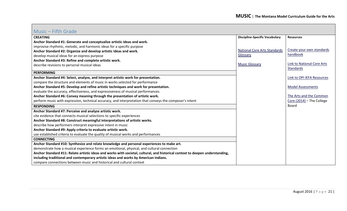#### <span id="page-20-0"></span>Music – Fifth Grade

| IVIUSIC – IIIUI OLUUC                                                                                                         |                                       |                            |
|-------------------------------------------------------------------------------------------------------------------------------|---------------------------------------|----------------------------|
| <b>CREATING</b>                                                                                                               | <b>Discipline-Specific Vocabulary</b> | <b>Resources</b>           |
| Anchor Standard #1: Generate and conceptualize artistic ideas and work.                                                       |                                       |                            |
| improvise rhythmic, melodic, and harmonic ideas for a specific purpose                                                        |                                       |                            |
| Anchor Standard #2: Organize and develop artistic ideas and work.                                                             | National Core Arts Standards          | Create your own standards  |
| develop musical ideas for an express purpose                                                                                  | Glossary                              | handbook                   |
| Anchor Standard #3: Refine and complete artistic work.                                                                        |                                       |                            |
| describe revisions to personal musical ideas                                                                                  | <b>Music Glossary</b>                 | Link to National Core Arts |
| <b>PERFORMING</b>                                                                                                             |                                       | Standards                  |
|                                                                                                                               |                                       |                            |
| Anchor Standard #4: Select, analyze, and interpret artistic work for presentation.                                            |                                       | Link to OPI IEFA Resources |
| compare the structure and elements of music in works selected for performance                                                 |                                       |                            |
| Anchor Standard #5: Develop and refine artistic techniques and work for presentation.                                         |                                       | <b>Model Assessments</b>   |
| evaluate the accuracy, effectiveness, and expressiveness of musical performances                                              |                                       |                            |
| Anchor Standard #6: Convey meaning through the presentation of artistic work.                                                 |                                       | The Arts and the Common    |
| perform music with expression, technical accuracy, and interpretation that conveys the composer's intent                      |                                       | Core (2014) - The College  |
| <b>RESPONDING</b>                                                                                                             |                                       | Board                      |
| Anchor Standard #7: Perceive and analyze artistic work.                                                                       |                                       |                            |
| cite evidence that connects musical selections to specific experiences                                                        |                                       |                            |
| Anchor Standard #8: Construct meaningful interpretations of artistic works.                                                   |                                       |                            |
| describe how performers interpret expressive intent in music                                                                  |                                       |                            |
| Anchor Standard #9: Apply criteria to evaluate artistic work.                                                                 |                                       |                            |
| use established criteria to evaluate the quality of musical works and performances                                            |                                       |                            |
| <b>CONNECTING</b>                                                                                                             |                                       |                            |
| Anchor Standard #10: Synthesize and relate knowledge and personal experiences to make art.                                    |                                       |                            |
| demonstrate how a musical experience forms an emotional, physical, and cultural connection                                    |                                       |                            |
| Anchor Standard #11: Relate artistic ideas and works with societal, cultural, and historical context to deepen understanding, |                                       |                            |
| including traditional and contemporary artistic ideas and works by American Indians.                                          |                                       |                            |
| compare connections between music and historical and cultural context                                                         |                                       |                            |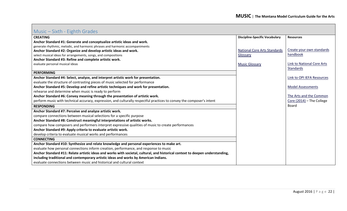## <span id="page-21-0"></span>Music – Sixth - Eighth Grades

| riadio dintii Ligiitii diaacd                                                                                                 |                                       |                            |
|-------------------------------------------------------------------------------------------------------------------------------|---------------------------------------|----------------------------|
| <b>CREATING</b>                                                                                                               | <b>Discipline-Specific Vocabulary</b> | <b>Resources</b>           |
| Anchor Standard #1: Generate and conceptualize artistic ideas and work.                                                       |                                       |                            |
| generate rhythmic, melodic, and harmonic phrases and harmonic accompaniments                                                  |                                       |                            |
| Anchor Standard #2: Organize and develop artistic ideas and work.                                                             | <b>National Core Arts Standards</b>   | Create your own standards  |
| select musical ideas for arrangements, songs, and compositions                                                                | Glossary                              | handbook                   |
| Anchor Standard #3: Refine and complete artistic work.                                                                        |                                       |                            |
| evaluate personal musical ideas                                                                                               | <b>Music Glossary</b>                 | Link to National Core Arts |
|                                                                                                                               |                                       | Standards                  |
| <b>PERFORMING</b>                                                                                                             |                                       |                            |
| Anchor Standard #4: Select, analyze, and interpret artistic work for presentation.                                            |                                       | Link to OPI IEFA Resources |
| evaluate the structure of contrasting pieces of music selected for performance                                                |                                       |                            |
| Anchor Standard #5: Develop and refine artistic techniques and work for presentation.                                         |                                       | <b>Model Assessments</b>   |
| rehearse and determine when music is ready to perform                                                                         |                                       |                            |
| Anchor Standard #6: Convey meaning through the presentation of artistic work.                                                 |                                       | The Arts and the Common    |
| perform music with technical accuracy, expression, and culturally respectful practices to convey the composer's intent        |                                       | Core (2014) - The College  |
| <b>RESPONDING</b>                                                                                                             |                                       | Board                      |
| Anchor Standard #7: Perceive and analyze artistic work.                                                                       |                                       |                            |
| compare connections between musical selections for a specific purpose                                                         |                                       |                            |
| Anchor Standard #8: Construct meaningful interpretations of artistic works.                                                   |                                       |                            |
| compare how composers and performers interpret expressive qualities of music to create performances                           |                                       |                            |
| Anchor Standard #9: Apply criteria to evaluate artistic work.                                                                 |                                       |                            |
| develop criteria to evaluate musical works and performances                                                                   |                                       |                            |
| <b>CONNECTING</b>                                                                                                             |                                       |                            |
| Anchor Standard #10: Synthesize and relate knowledge and personal experiences to make art.                                    |                                       |                            |
| evaluate how personal connections inform creation, performance, and response to music                                         |                                       |                            |
| Anchor Standard #11: Relate artistic ideas and works with societal, cultural, and historical context to deepen understanding, |                                       |                            |
| including traditional and contemporary artistic ideas and works by American Indians.                                          |                                       |                            |
| evaluate connections between music and historical and cultural context                                                        |                                       |                            |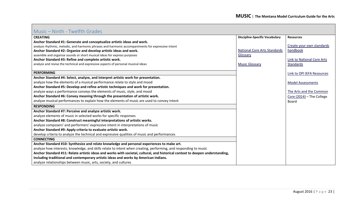### <span id="page-22-0"></span>Music – Ninth - Twelfth Grades

| <b>CREATING</b>                                                                                                               | <b>Discipline-Specific Vocabulary</b> | <b>Resources</b>           |
|-------------------------------------------------------------------------------------------------------------------------------|---------------------------------------|----------------------------|
| Anchor Standard #1: Generate and conceptualize artistic ideas and work.                                                       |                                       |                            |
| analyze rhythmic, melodic, and harmonic phrases and harmonic accompaniments for expressive intent                             |                                       | Create your own standards  |
| Anchor Standard #2: Organize and develop artistic ideas and work.                                                             | <b>National Core Arts Standards</b>   | handbook                   |
| assemble and organize sounds or short musical ideas for express purposes                                                      | Glossary                              |                            |
| Anchor Standard #3: Refine and complete artistic work.                                                                        |                                       | Link to National Core Arts |
| analyze and revise the technical and expressive aspects of personal musical ideas                                             | <b>Music Glossary</b>                 | <b>Standards</b>           |
|                                                                                                                               |                                       |                            |
| <b>PERFORMING</b>                                                                                                             |                                       | Link to OPI IEFA Resources |
| Anchor Standard #4: Select, analyze, and interpret artistic work for presentation.                                            |                                       |                            |
| analyze how the elements of a musical performance relate to style and mood                                                    |                                       | <b>Model Assessments</b>   |
| Anchor Standard #5: Develop and refine artistic techniques and work for presentation.                                         |                                       |                            |
| analyze ways a performance conveys the elements of music, style, and mood                                                     |                                       | The Arts and the Common    |
| Anchor Standard #6: Convey meaning through the presentation of artistic work.                                                 |                                       | Core (2014) - The College  |
| analyze musical performances to explain how the elements of music are used to convey intent                                   |                                       | <b>Board</b>               |
| <b>RESPONDING</b>                                                                                                             |                                       |                            |
| Anchor Standard #7: Perceive and analyze artistic work.                                                                       |                                       |                            |
| analyze elements of music in selected works for specific responses                                                            |                                       |                            |
| Anchor Standard #8: Construct meaningful interpretations of artistic works.                                                   |                                       |                            |
| analyze composers' and performers' expressive intent in interpretations of music                                              |                                       |                            |
| Anchor Standard #9: Apply criteria to evaluate artistic work.                                                                 |                                       |                            |
| develop criteria to analyze the technical and expressive qualities of music and performances                                  |                                       |                            |
| <b>CONNECTING</b>                                                                                                             |                                       |                            |
| Anchor Standard #10: Synthesize and relate knowledge and personal experiences to make art.                                    |                                       |                            |
| analyze how interests, knowledge, and skills relate to intent when creating, performing, and responding to music              |                                       |                            |
| Anchor Standard #11: Relate artistic ideas and works with societal, cultural, and historical context to deepen understanding, |                                       |                            |
| including traditional and contemporary artistic ideas and works by American Indians.                                          |                                       |                            |
| analyze relationships between music, arts, society, and cultures                                                              |                                       |                            |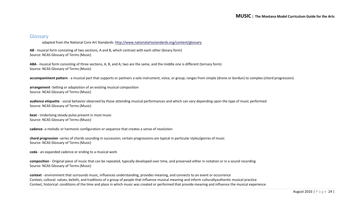#### <span id="page-23-0"></span>Glossary

adapted from the National Core Art Standards:<http://www.nationalartsstandards.org/content/glossary>

**AB** - musical form consisting of two sections, A and B, which contrast with each other (binary form) Source: NCAS Glossary of Terms (Music)

**ABA** - musical form consisting of three sections, A, B, and A; two are the same, and the middle one is different (ternary form) Source: NCAS Glossary of Terms (Music)

**accompaniment pattern** - a musical part that supports or partners a solo instrument, voice, or group; ranges from simple (drone or bordun) to complex (chord progression)

**arrangement** -Setting or adaptation of an existing musical composition Source: NCAS Glossary of Terms (Music)

**audience etiquette** - social behavior observed by those attending musical performances and which can vary depending upon the type of music performed Source: NCAS Glossary of Terms (Music)

**beat -** Underlying steady pulse present in most music Source: NCAS Glossary of Terms (Music)

**cadence** -a melodic or harmonic configuration or sequence that creates a sense of resolution

**chord progression** -series of chords sounding in succession; certain progressions are typical in particular styles/genres of music Source: NCAS Glossary of Terms (Music)

**coda** - an expanded cadence or ending to a musical work

**composition** - Original piece of music that can be repeated, typically developed over time, and preserved either in notation or in a sound recording Source: NCAS Glossary of Terms (Music)

**context** - environment that surrounds music, influences understanding, provides meaning, and connects to an event or occurrence Context, cultural: values, beliefs, and traditions of a group of people that influence musical meaning and inform culturallyauthentic musical practice Context, historical: conditions of the time and place in which music was created or performed that provide meaning and influence the musical experience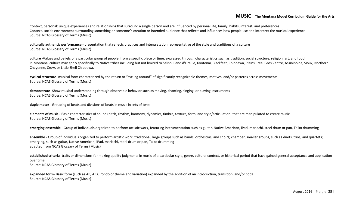Context, personal: unique experiences and relationships that surround a single person and are influenced by personal life, family, habits, interest, and preferences Context, social: environment surrounding something or someone's creation or intended audience that reflects and influences how people use and interpret the musical experience Source: NCAS Glossary of Terms (Music)

**culturally authentic performance** - presentation that reflects practices and interpretation representative of the style and traditions of a culture Source: NCAS Glossary of Terms (Music)

**culture** -Values and beliefs of a particular group of people, from a specific place or time, expressed through characteristics such as tradition, social structure, religion, art, and food. In Montana, culture may apply specifically to Native tribes including but not limited to Salish, Pend d'Oreille, Kootenai, Blackfeet, Chippewa, Plains Cree, Gros Ventre, Assiniboine, Sioux, Northern Cheyenne, Crow, or Little Shell Chippewa.

**cyclical structure** -musical form characterized by the return or "cycling around" of significantly recognizable themes, motives, and/or patterns across movements Source: NCAS Glossary of Terms (Music)

**demonstrate** -Show musical understanding through observable behavior such as moving, chanting, singing, or playing instruments Source: NCAS Glossary of Terms (Music)

**duple meter** - Grouping of beats and divisions of beats in music in sets of twos

**elements of music** - Basic characteristics of sound (pitch, rhythm, harmony, dynamics, timbre, texture, form, and style/articulation) that are manipulated to create music Source: NCAS Glossary of Terms (Music)

**emerging ensemble** - Group of individuals organized to perform artistic work, featuring instrumentation such as guitar, Native American, iPad, mariachi, steel drum or pan, Taiko drumming

**ensemble** - Group of individuals organized to perform artistic work: traditional, large groups such as bands, orchestras, and choirs; chamber, smaller groups, such as duets, trios, and quartets; emerging, such as guitar, Native American, iPad, mariachi, steel drum or pan, Taiko drumming adapted from NCAS Glossary of Terms (Music)

**established criteria** -traits or dimensions for making quality judgments in music of a particular style, genre, cultural context, or historical period that have gained general acceptance and application over time Source: NCAS Glossary of Terms (Music)

**expanded form**- Basic form (such as AB, ABA, rondo or theme and variation) expanded by the addition of an introduction, transition, and/or coda Source: NCAS Glossary of Terms (Music)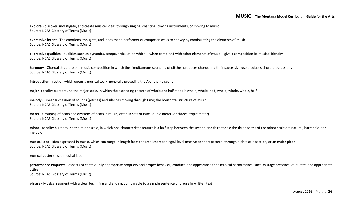**explore -** discover, investigate, and create musical ideas through singing, chanting, playing instruments, or moving to music Source: NCAS Glossary of Terms (Music)

**expressive intent** - The emotions, thoughts, and ideas that a performer or composer seeks to convey by manipulating the elements of music Source: NCAS Glossary of Terms (Music)

**expressive qualities** - qualities such as dynamics, tempo, articulation which -- when combined with other elements of music -- give a composition its musical identity Source: NCAS Glossary of Terms (Music)

**harmony** - Chordal structure of a music composition in which the simultaneous sounding of pitches produces chords and their successive use produces chord progressions Source: NCAS Glossary of Terms (Music)

**introduction** - section which opens a musical work, generally preceding the A or theme section

**major**- tonality built around the major scale, in which the ascending pattern of whole and half steps is whole, whole, half, whole, whole, whole, half

**melody** - Linear succession of sounds (pitches) and silences moving through time; the horizontal structure of music Source: NCAS Glossary of Terms (Music)

**meter** - Grouping of beats and divisions of beats in music, often in sets of twos (duple meter) or threes (triple meter) Source: NCAS Glossary of Terms (Music)

**minor -** tonality built around the minor scale, in which one characteristic feature is a half step between the second and third tones; the three forms of the minor scale are natural, harmonic, and melodic

**musical idea** - Idea expressed in music, which can range in length from the smallest meaningful level (motive or short pattern) through a phrase, a section, or an entire piece Source: NCAS Glossary of Terms (Music)

**musical pattern** - see musical idea

**performance etiquette** - aspects of contextually appropriate propriety and proper behavior, conduct, and appearance for a musical performance, such as stage presence, etiquette, and appropriate attire Source: NCAS Glossary of Terms (Music)

**phrase -** Musical segment with a clear beginning and ending, comparable to a simple sentence or clause in written text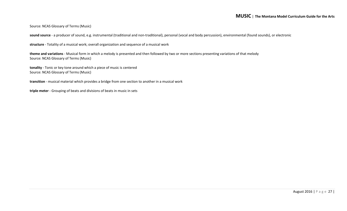Source: NCAS Glossary of Terms (Music)

**sound source** - a producer of sound, e.g. instrumental (traditional and non-traditional), personal (vocal and body percussion), environmental (found sounds), or electronic

**structure** - Totality of a musical work; overall organization and sequence of a musical work

**theme and variations** - Musical form in which a melody is presented and then followed by two or more sections presenting variations of that melody Source: NCAS Glossary of Terms (Music)

**tonality** - Tonic or key tone around which a piece of music is centered Source: NCAS Glossary of Terms (Music)

**transition** - musical material which provides a bridge from one section to another in a musical work

**triple meter** - Grouping of beats and divisions of beats in music in sets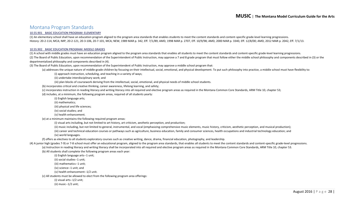#### <span id="page-27-0"></span>Montana Program Standards

#### [10.55.901 BASIC EDUCATION PROGRAM: ELEMENTARY](http://mtrules.org/gateway/ruleno.asp?RN=10%2E55%2E901)

(1) An elementary school shall have an education program aligned to the program area standards that enables students to meet the content standards and content-specific grade-level learning progressions. History: 20-2-114, MCA; IMP, 20-2-121, 20-3-106, 20-7-101, MCA; NEW, 1989 MAR p. 342, Eff. 7/1/89; AMD, 1998 MAR p. 2707, Eff. 10/9/98; AMD, 2000 MAR p. 3340, Eff. 12/8/00; AMD, 2012 MAR p. 2042, Eff. 7/1/13.

#### [10.55.902 BASIC EDUCATION PROGRAM: MIDDLE GRADES](http://mtrules.org/gateway/ruleno.asp?RN=10%2E55%2E902)

(1) A school with middle grades must have an education program aligned to the program area standards that enables all students to meet the content standards and content-specific grade-level learning progressions. (2) The Board of Public Education, upon recommendation of the Superintendent of Public Instruction, may approve a 7 and 8 grade program that must follow either the middle school philosophy and components described in (3) o departmentalized philosophy and components described in (4).

(3) The Board of Public Education, upon recommendation of the Superintendent of Public Instruction, may approve a middle school program that:

(a) addresses the unique nature of middle-grade children by focusing on their intellectual, social, emotional, and physical development. To put such philosophy into practice, a middle school must have flexibility to:

(i) approach instruction, scheduling, and teaching in a variety of ways;

(ii) undertake interdisciplinary work; and

(iii) plan blocks of coursework deriving from the intellectual, social, emotional, and physical needs of middle school students.

(b) incorporates critical and creative thinking, career awareness, lifelong learning, and safety;

(c) incorporates instruction in reading literacy and writing literacy into all required and elective program areas as required in the Montana Common Core Standards, ARM Title 10, chapter 53;

(d) includes, at a minimum, the following program areas, required of all students yearly:

(i) English language arts;

(ii) mathematics;

(iii) physical and life sciences;

(iv) social studies; and

(v) health enhancement.

(e) at a minimum maintains the following required program areas:

(i) visual arts including, but not limited to art history, art criticism, aesthetic perception, and production;

(ii) music including, but not limited to general, instrumental, and vocal (emphasizing comprehensive music elements, music history, criticism, aesthetic perception, and musical production);

(iii) career and technical education courses or pathways such as agriculture, business education, family and consumer sciences, health occupations and industrial technology education; and

(iv) world languages.

(f) offers as electives to all students exploratory courses such as creative writing, dance, drama, financial education, photography, and leadership.

(4) A junior high (grades 7-9) or 7-8 school must offer an educational program, aligned to the program area standards, that enables all students to meet the content standards and content-specific grade-level progressions. (a) Instruction in reading literacy and writing literacy shall be incorporated into all required and elective program areas as required in the Montana Common Core Standards, ARM Title 10, chapter 53.

(b) All students shall complete the following program areas each year:

(i) English language arts--1 unit;

(ii) social studies--1 unit;

(iii) mathematics--1 unit;

(iv) science--1 unit; and

(v) health enhancement--1/2 unit.

(c) All students must be allowed to elect from the following program area offerings:

(i) visual arts--1/2 unit;

(ii) music--1/2 unit;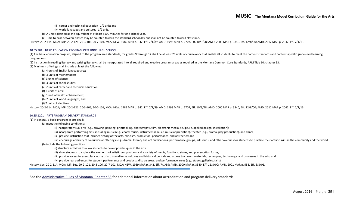(iii) career and technical education--1/2 unit; and

(iv) world languages and cultures--1/2 unit.

(d) A unit is defined as the equivalent of at least 8100 minutes for one school year.

(e) Time to pass between classes may be counted toward the standard school day but shall not be counted toward class time.

History: 20-2-114, MCA; IMP, 20-2-121, 20-3-106, 20-7-101, MCA; NEW, 1989 MAR p. 342, Eff. 7/1/89; AMD, 1998 MAR p. 2707, Eff. 10/9/98; AMD, 2000 MAR p. 3340, Eff. 12/8/00; AMD, 2012 MAR p. 2042, Eff. 7/1/13.

#### [10.55.904 BASIC EDUCATION PROGRAM OFFERINGS: HIGH SCHOOL](http://mtrules.org/gateway/ruleno.asp?RN=10%2E55%2E904)

(1) The basic education program, aligned to the program area standards, for grades 9 through 12 shall be at least 20 units of coursework that enable all students to meet the content standards and content-specific grade-lev progressions.

(2) Instruction in reading literacy and writing literacy shall be incorporated into all required and elective program areas as required in the Montana Common Core Standards, ARM Title 10, chapter 53. (3) Minimum offerings shall include at least the following:

(a) 4 units of English language arts; (b) 3 units of mathematics; (c) 3 units of science; (d) 3 units of social studies; (e) 2 units of career and technical education; (f) 2 units of arts; (g) 1 unit of health enhancement; (h) 2 units of world languages; and (i) 2 units of electives.

History: 20-2-114, MCA; IMP, 20-2-121, 20-3-106, 20-7-101, MCA; NEW, 1989 MAR p. 342, Eff. 7/1/89; AMD, 1998 MAR p. 2707, Eff. 10/9/98; AMD, 2000 MAR p. 3340, Eff. 12/8/00; AMD, 2012 MAR p. 2042, Eff. 7/1/13.

#### [10.55.1201 ARTS PROGRAM DELIVERY STANDARDS](http://mtrules.org/gateway/ruleno.asp?RN=10%2E55%2E1201)

#### (1) In general, a basic program in arts shall:

(a) meet the following conditions:

(i) incorporate visual arts (e.g., drawing, painting, printmaking, photography, film, electronic media, sculpture, applied design, installation);

(ii) incorporate performing arts, including music (e.g., choral music, instrumental music, music appreciation), theater (e.g., drama, play production), and dance;

(iii) provide instruction that includes history of the arts, criticism, production, performance, and aesthetics; and

(iv) encourage a variety of co-curricular offerings (e.g., drama, literary and art publications, performance groups, arts clubs) and other avenues for students to practice their artistic skills in the community and the wor (b) include the following practices:

(i) structure activities to allow students to develop techniques in the arts;

(ii) allow students to explore the elements of artistic composition and a variety of media, functions, styles, and presentation forms;

(iii) provide access to exemplary works of art from diverse cultures and historical periods and access to current materials, techniques, technology, and processes in the arts; and

(iv) provide real audiences for student performance and products, display areas, and performance areas (e.g., stages, galleries, fairs).

History: Sec. 20-2-114, MCA; IMP, Sec. 20-2-121, 20-3-106, 20-7-101, MCA; NEW, 1989 MAR p. 342, Eff. 7/1/89; AMD, 2000 MAR p. 3340, Eff. 12/8/00; AMD, 2001 MAR p. 953, Eff. 6/8/01.

See the [Administrative Rules of Montana, Chapter 55](http://mtrules.org/gateway/ChapterHome.asp?Chapter=10%2E55) for additional information about accreditation and program delivery standards.